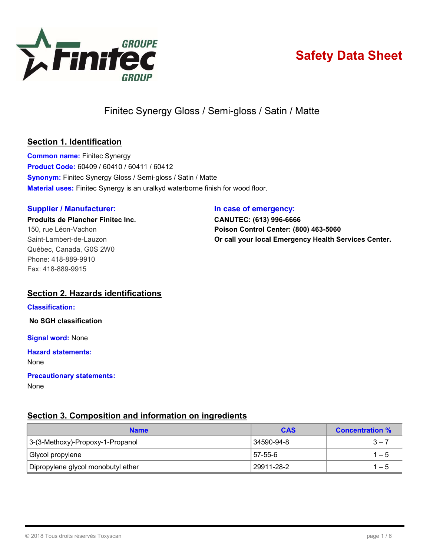

# Safety Data Sheet

Finitec Synergy Gloss / Semi-gloss / Satin / Matte

# Section 1. Identification

Common name: Finitec Synergy Product Code: 60409 / 60410 / 60411 / 60412 Synonym: Finitec Synergy Gloss / Semi-gloss / Satin / Matte Material uses: Finitec Synergy is an uralkyd waterborne finish for wood floor.

#### Supplier / Manufacturer: **In case of emergency:**

Produits de Plancher Finitec Inc. CANUTEC: (613) 996-6666 Québec, Canada, G0S 2W0 Phone: 418-889-9910 Fax: 418-889-9915

150, rue Léon-Vachon **Poison Control Center: (800) 463-5060** Saint-Lambert-de-Lauzon **Call your local Emergency Health Services Center.** 

# Section 2. Hazards identifications

#### Classification:

No SGH classification

**Signal word: None** 

Hazard statements:

None

# Precautionary statements:

None

# Section 3. Composition and information on ingredients

| <b>Name</b>                        | <b>CAS</b> | <b>Concentration %</b> |  |
|------------------------------------|------------|------------------------|--|
| 3-(3-Methoxy)-Propoxy-1-Propanol   | 34590-94-8 | $3 - 7$                |  |
| Glycol propylene                   | 57-55-6    | $1 - 5$                |  |
| Dipropylene glycol monobutyl ether | 29911-28-2 | $1 - 5$                |  |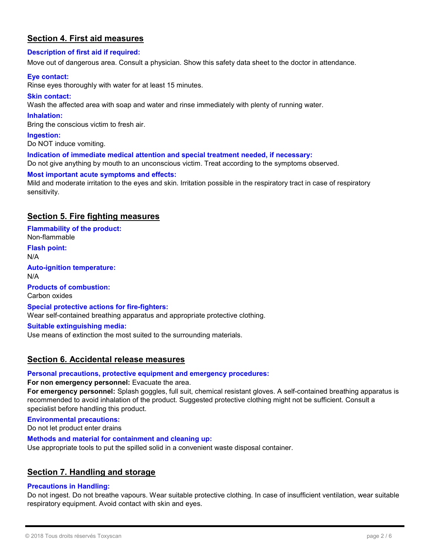# Section 4. First aid measures

#### Description of first aid if required:

Move out of dangerous area. Consult a physician. Show this safety data sheet to the doctor in attendance.

#### Eye contact:

Rinse eyes thoroughly with water for at least 15 minutes.

#### Skin contact:

Wash the affected area with soap and water and rinse immediately with plenty of running water.

#### Inhalation:

Bring the conscious victim to fresh air.

#### Ingestion:

Do NOT induce vomiting.

#### Indication of immediate medical attention and special treatment needed, if necessary:

Do not give anything by mouth to an unconscious victim. Treat according to the symptoms observed.

#### Most important acute symptoms and effects:

Mild and moderate irritation to the eyes and skin. Irritation possible in the respiratory tract in case of respiratory sensitivity.

# Section 5. Fire fighting measures

Flammability of the product: Non-flammable

Flash point: N/A

Auto-ignition temperature:

N/A Products of combustion:

Carbon oxides

#### Special protective actions for fire-fighters:

Wear self-contained breathing apparatus and appropriate protective clothing.

#### Suitable extinguishing media:

Use means of extinction the most suited to the surrounding materials.

### Section 6. Accidental release measures

#### Personal precautions, protective equipment and emergency procedures:

#### For non emergency personnel: Evacuate the area.

For emergency personnel: Splash goggles, full suit, chemical resistant gloves. A self-contained breathing apparatus is recommended to avoid inhalation of the product. Suggested protective clothing might not be sufficient. Consult a specialist before handling this product.

#### Environmental precautions:

Do not let product enter drains

#### Methods and material for containment and cleaning up:

Use appropriate tools to put the spilled solid in a convenient waste disposal container.

### Section 7. Handling and storage

#### Precautions in Handling:

Do not ingest. Do not breathe vapours. Wear suitable protective clothing. In case of insufficient ventilation, wear suitable respiratory equipment. Avoid contact with skin and eyes.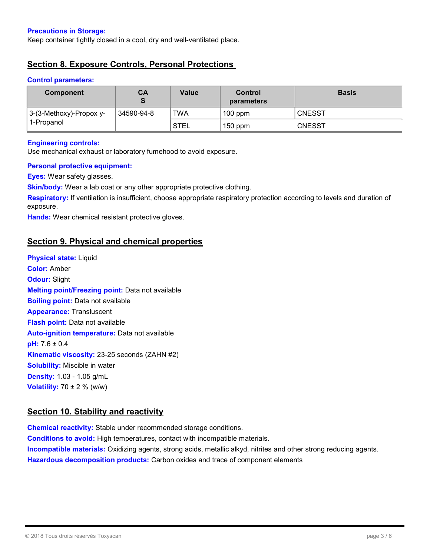#### Precautions in Storage:

Keep container tightly closed in a cool, dry and well-ventilated place.

# Section 8. Exposure Controls, Personal Protections

#### Control parameters:

| <b>Component</b>                        | CА         | Value       | Control<br>parameters | <b>Basis</b>  |
|-----------------------------------------|------------|-------------|-----------------------|---------------|
| 3-(3-Methoxy)-Propox y-<br>∣ 1-PropanoI | 34590-94-8 | <b>TWA</b>  | $100$ ppm             | <b>CNESST</b> |
|                                         |            | <b>STEL</b> | $150$ ppm             | <b>CNESST</b> |

#### Engineering controls:

Use mechanical exhaust or laboratory fumehood to avoid exposure.

#### Personal protective equipment:

**Eyes:** Wear safety glasses.

Skin/body: Wear a lab coat or any other appropriate protective clothing.

Respiratory: If ventilation is insufficient, choose appropriate respiratory protection according to levels and duration of exposure.

Hands: Wear chemical resistant protective gloves.

# Section 9. Physical and chemical properties

Physical state: Liquid Color: Amber **Odour: Slight** Melting point/Freezing point: Data not available **Boiling point:** Data not available **Appearance: Transluscent Flash point:** Data not available Auto-ignition temperature: Data not available  $pH: 7.6 \pm 0.4$ Kinematic viscosity: 23-25 seconds (ZAHN #2) **Solubility:** Miscible in water Density: 1.03 - 1.05 g/mL **Volatility:**  $70 \pm 2$  % (w/w)

### Section 10. Stability and reactivity

Chemical reactivity: Stable under recommended storage conditions. Conditions to avoid: High temperatures, contact with incompatible materials. **Incompatible materials:** Oxidizing agents, strong acids, metallic alkyd, nitrites and other strong reducing agents. Hazardous decomposition products: Carbon oxides and trace of component elements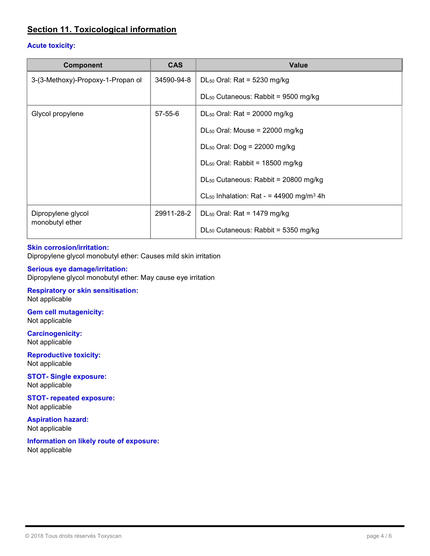# Section 11. Toxicological information

#### Acute toxicity:

| <b>Component</b>                      | <b>CAS</b>    | <b>Value</b>                                                    |
|---------------------------------------|---------------|-----------------------------------------------------------------|
| 3-(3-Methoxy)-Propoxy-1-Propan ol     | 34590-94-8    | $DL_{50}$ Oral: Rat = 5230 mg/kg                                |
|                                       |               | $DL_{50}$ Cutaneous: Rabbit = 9500 mg/kg                        |
| Glycol propylene                      | $57 - 55 - 6$ | $DL_{50}$ Oral: Rat = 20000 mg/kg                               |
|                                       |               | $DL_{50}$ Oral: Mouse = 22000 mg/kg                             |
|                                       |               | $DL_{50}$ Oral: Dog = 22000 mg/kg                               |
|                                       |               | $DL_{50}$ Oral: Rabbit = 18500 mg/kg                            |
|                                       |               | DL <sub>50</sub> Cutaneous: Rabbit = 20800 mg/kg                |
|                                       |               | CL <sub>50</sub> Inhalation: Rat - = 44900 mg/m <sup>3</sup> 4h |
| Dipropylene glycol<br>monobutyl ether | 29911-28-2    | $DL_{50}$ Oral: Rat = 1479 mg/kg                                |
|                                       |               | $DL_{50}$ Cutaneous: Rabbit = 5350 mg/kg                        |

#### Skin corrosion/irritation:

Dipropylene glycol monobutyl ether: Causes mild skin irritation

#### Serious eye damage/irritation:

Dipropylene glycol monobutyl ether: May cause eye irritation

#### Respiratory or skin sensitisation: Not applicable

Gem cell mutagenicity: Not applicable

Carcinogenicity: Not applicable

Reproductive toxicity: Not applicable

STOT- Single exposure: Not applicable

STOT- repeated exposure: Not applicable

Aspiration hazard: Not applicable

Information on likely route of exposure: Not applicable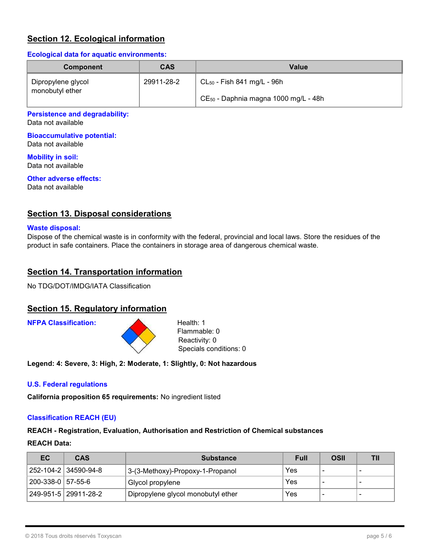# **Section 12. Ecological information**

#### Ecological data for aquatic environments:

| <b>Component</b>                      | <b>CAS</b> | Value                                     |
|---------------------------------------|------------|-------------------------------------------|
| Dipropylene glycol<br>monobutyl ether | 29911-28-2 | $CL_{50}$ - Fish 841 mg/L - 96h           |
|                                       |            | $CE_{50}$ - Daphnia magna 1000 mg/L - 48h |

#### Persistence and degradability:

Data not available

# Bioaccumulative potential:

Data not available

Mobility in soil: Data not available

# Other adverse effects:

Data not available

# **Section 13. Disposal considerations**

#### Waste disposal:

Dispose of the chemical waste is in conformity with the federal, provincial and local laws. Store the residues of the product in safe containers. Place the containers in storage area of dangerous chemical waste.

# **Section 14. Transportation information**

No TDG/DOT/IMDG/IATA Classification

### Section 15. Regulatory information

**NFPA Classification:** Health: 1



Flammable: 0 Reactivity: 0 Specials conditions: 0

Legend: 4: Severe, 3: High, 2: Moderate, 1: Slightly, 0: Not hazardous

#### U.S. Federal regulations

California proposition 65 requirements: No ingredient listed

#### Classification REACH (EU)

REACH - Registration, Evaluation, Authorisation and Restriction of Chemical substances

#### REACH Data:

| EC.               | <b>CAS</b>             | <b>Substance</b>                   | Full | OSII |  |
|-------------------|------------------------|------------------------------------|------|------|--|
|                   | 252-104-2   34590-94-8 | 3-(3-Methoxy)-Propoxy-1-Propanol   | Yes  |      |  |
| 200-338-0 57-55-6 |                        | Glycol propylene                   | Yes  |      |  |
|                   | 249-951-5   29911-28-2 | Dipropylene glycol monobutyl ether | Yes  |      |  |